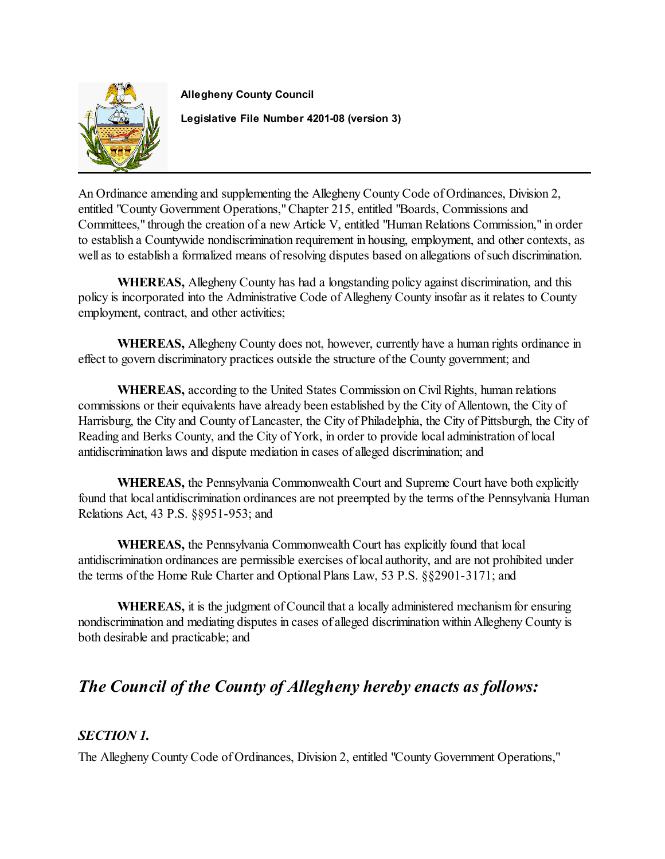

**Allegheny County Council Legislative File Number 4201-08 (version 3)**

An Ordinance amending and supplementing the Allegheny County Code of Ordinances, Division 2, entitled "County Government Operations," Chapter 215, entitled "Boards, Commissions and Committees," through the creation of a new Article V, entitled "Human Relations Commission," in order to establish a Countywide nondiscrimination requirement in housing, employment, and other contexts, as well as to establish a formalized means of resolving disputes based on allegations of such discrimination.

**WHEREAS,** Allegheny County has had a longstanding policy against discrimination, and this policy is incorporated into the Administrative Code of Allegheny County insofar as it relates to County employment, contract, and other activities;

**WHEREAS,** Allegheny County does not, however, currently have a human rights ordinance in effect to govern discriminatory practices outside the structure of the County government; and

**WHEREAS,** according to the United States Commission on Civil Rights, human relations commissions or their equivalents have already been established by the City of Allentown, the City of Harrisburg, the City and County of Lancaster, the City of Philadelphia, the City of Pittsburgh, the City of Reading and Berks County, and the City of York, in order to provide local administration of local antidiscrimination laws and dispute mediation in cases of alleged discrimination; and

**WHEREAS,** the Pennsylvania Commonwealth Court and Supreme Court have both explicitly found that local antidiscrimination ordinances are not preempted by the terms of the Pennsylvania Human Relations Act, 43 P.S. §§951-953; and

**WHEREAS,** the Pennsylvania Commonwealth Court has explicitly found that local antidiscrimination ordinances are permissible exercises of local authority, and are not prohibited under the terms of the Home Rule Charter and Optional Plans Law, 53 P.S. §§2901-3171; and

**WHEREAS,** it is the judgment of Council that a locally administered mechanism for ensuring nondiscrimination and mediating disputes in cases of alleged discrimination within Allegheny County is both desirable and practicable; and

# *The Council of the County of Allegheny hereby enacts as follows:*

# *SECTION 1.*

The Allegheny County Code of Ordinances, Division 2, entitled "County Government Operations,"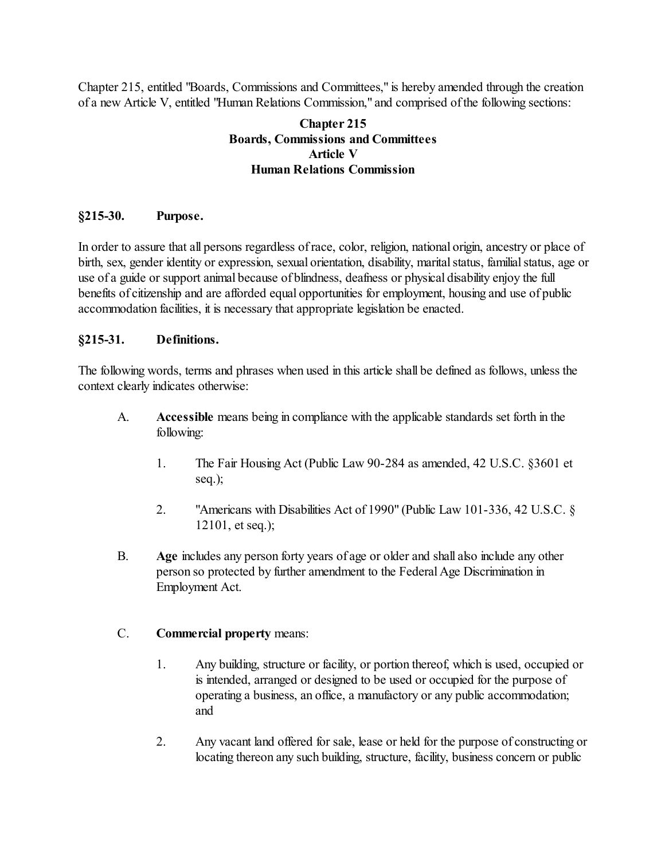Chapter 215, entitled "Boards, Commissions and Committees," is hereby amended through the creation of a new Article V, entitled "Human Relations Commission," and comprised of the following sections:

# **Chapter 215 Boards, Commissions and Committees Article V Human Relations Commission**

# **§215-30. Purpose.**

In order to assure that all persons regardless of race, color, religion, national origin, ancestry or place of birth, sex, gender identity or expression, sexual orientation, disability, marital status, familial status, age or use of a guide or support animal because of blindness, deafness or physical disability enjoy the full benefits of citizenship and are afforded equal opportunities for employment, housing and use of public accommodation facilities, it is necessary that appropriate legislation be enacted.

#### **§215-31. Definitions.**

The following words, terms and phrases when used in this article shall be defined as follows, unless the context clearly indicates otherwise:

- A. **Accessible** means being in compliance with the applicable standards set forth in the following:
	- 1. The Fair Housing Act (Public Law 90-284 as amended, 42 U.S.C. §3601 et seq.);
	- 2. "Americans with Disabilities Act of 1990" (Public Law 101-336, 42 U.S.C. § 12101, et seq.);
- B. **Age** includes any person forty years of age or older and shall also include any other person so protected by further amendment to the Federal Age Discrimination in Employment Act.

#### C. **Commercial property** means:

- 1. Any building, structure or facility, or portion thereof, which is used, occupied or is intended, arranged or designed to be used or occupied for the purpose of operating a business, an office, a manufactory or any public accommodation; and
- 2. Any vacant land offered for sale, lease or held for the purpose of constructing or locating thereon any such building, structure, facility, business concern or public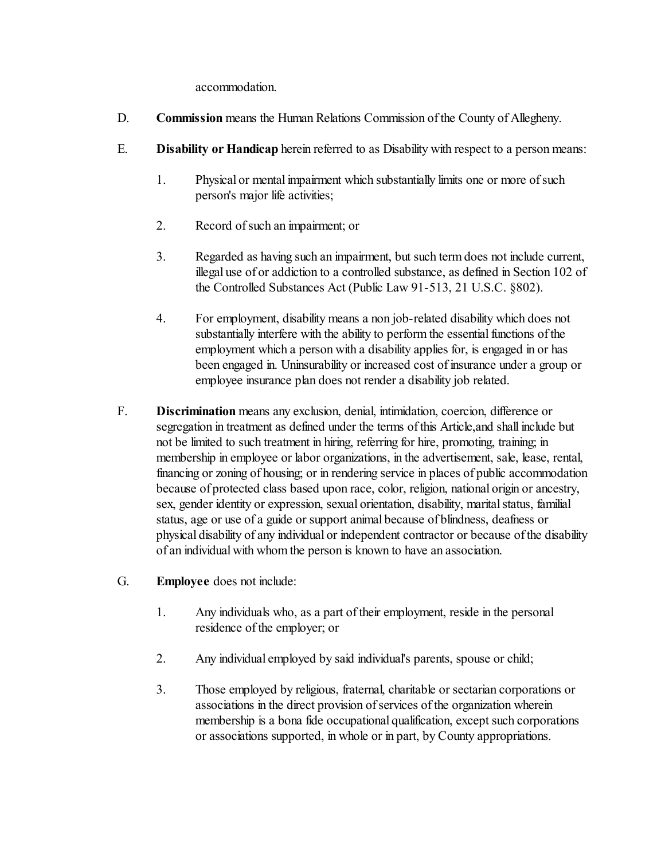accommodation.

- D. **Commission** means the Human Relations Commission of the County of Allegheny.
- E. **Disability or Handicap** herein referred to as Disability with respect to a person means:
	- 1. Physical or mental impairment which substantially limits one or more of such person's major life activities;
	- 2. Record of such an impairment; or
	- 3. Regarded as having such an impairment, but such term does not include current, illegal use of or addiction to a controlled substance, as defined in Section 102 of the Controlled Substances Act (Public Law 91-513, 21 U.S.C. §802).
	- 4. For employment, disability means a non job-related disability which does not substantially interfere with the ability to perform the essential functions of the employment which a person with a disability applies for, is engaged in or has been engaged in. Uninsurability or increased cost of insurance under a group or employee insurance plan does not render a disability job related.
- F. **Discrimination** means any exclusion, denial, intimidation, coercion, difference or segregation in treatment as defined under the terms of this Article,and shall include but not be limited to such treatment in hiring, referring for hire, promoting, training; in membership in employee or labor organizations, in the advertisement, sale, lease, rental, financing or zoning of housing; or in rendering service in places of public accommodation because of protected class based upon race, color, religion, national origin or ancestry, sex, gender identity or expression, sexual orientation, disability, marital status, familial status, age or use of a guide or support animal because of blindness, deafness or physical disability of any individual or independent contractor or because of the disability of an individual with whom the person is known to have an association.
- G. **Employee** does not include:
	- 1. Any individuals who, as a part of their employment, reside in the personal residence of the employer; or
	- 2. Any individual employed by said individual's parents, spouse or child;
	- 3. Those employed by religious, fraternal, charitable or sectarian corporations or associations in the direct provision of services of the organization wherein membership is a bona fide occupational qualification, except such corporations or associations supported, in whole or in part, by County appropriations.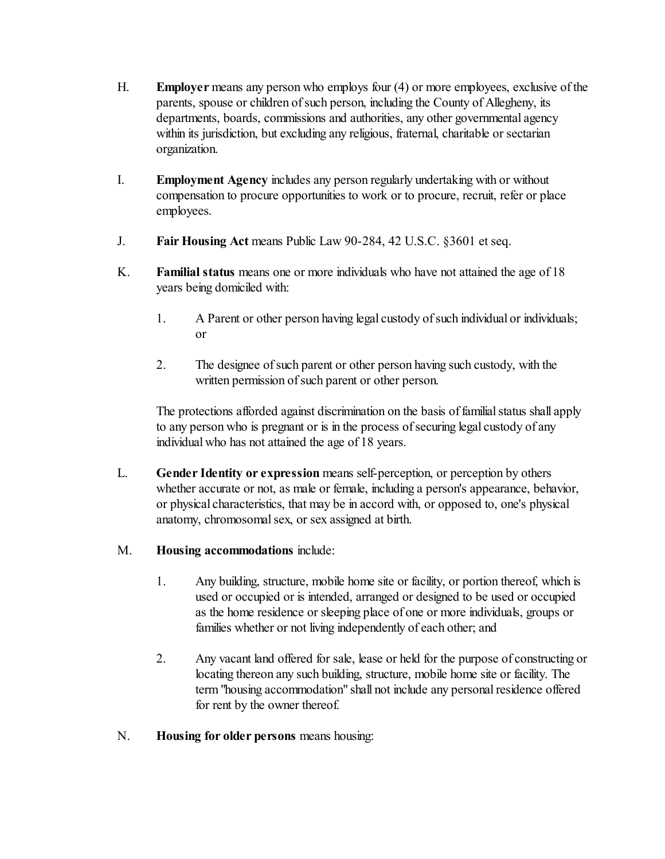- H. **Employer** means any person who employs four (4) or more employees, exclusive of the parents, spouse or children of such person, including the County of Allegheny, its departments, boards, commissions and authorities, any other governmental agency within its jurisdiction, but excluding any religious, fraternal, charitable or sectarian organization.
- I. **Employment Agency** includes any person regularly undertaking with or without compensation to procure opportunities to work or to procure, recruit, refer or place employees.
- J. **Fair Housing Act** means Public Law 90-284, 42 U.S.C. §3601 et seq.
- K. **Familial status** means one or more individuals who have not attained the age of 18 years being domiciled with:
	- 1. A Parent or other person having legal custody of such individual or individuals; or
	- 2. The designee of such parent or other person having such custody, with the written permission of such parent or other person.

The protections afforded against discrimination on the basis of familial status shall apply to any person who is pregnant or is in the process of securing legal custody of any individual who has not attained the age of 18 years.

- L. **Gender Identity or expression** means self-perception, or perception by others whether accurate or not, as male or female, including a person's appearance, behavior, or physical characteristics, that may be in accord with, or opposed to, one's physical anatomy, chromosomal sex, or sex assigned at birth.
- M. **Housing accommodations** include:
	- 1. Any building, structure, mobile home site or facility, or portion thereof, which is used or occupied or is intended, arranged or designed to be used or occupied as the home residence or sleeping place of one or more individuals, groups or families whether or not living independently of each other; and
	- 2. Any vacant land offered for sale, lease or held for the purpose of constructing or locating thereon any such building, structure, mobile home site or facility. The term "housing accommodation" shall not include any personal residence offered for rent by the owner thereof.
- N. **Housing for older persons** means housing: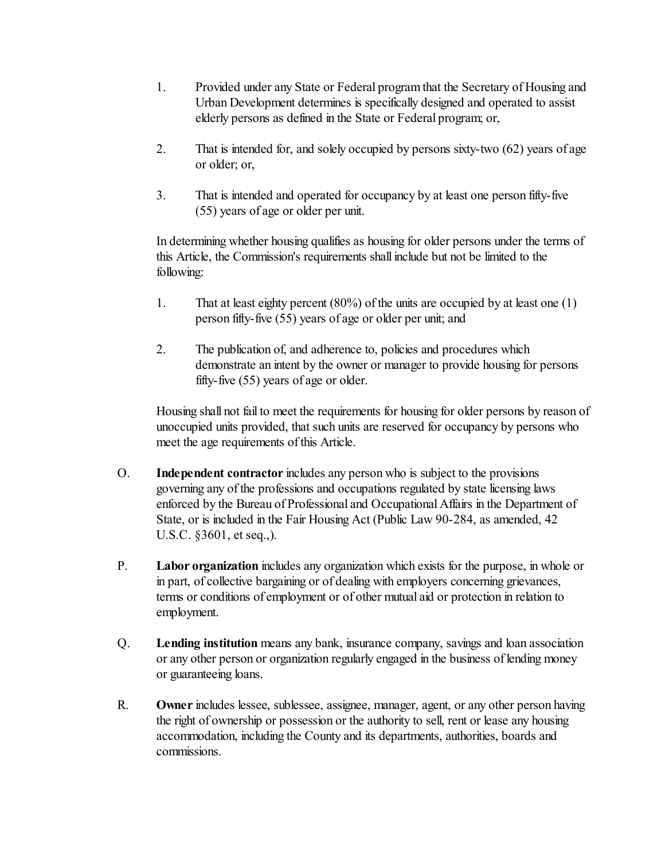- 1. Provided under any State or Federal program that the Secretary of Housing and Urban Development determines is specifically designed and operated to assist elderly persons as defined in the State or Federal program; or,
- 2. That is intended for, and solely occupied by persons sixty-two (62) years of age or older; or,
- 3. That is intended and operated for occupancy by at least one person fifty-five (55) years of age or older per unit.

In determining whether housing qualifies as housing for older persons under the terms of this Article, the Commission's requirements shall include but not be limited to the following:

- 1. That at least eighty percent (80%) of the units are occupied by at least one (1) person fifty-five (55) years of age or older per unit; and
- 2. The publication of, and adherence to, policies and procedures which demonstrate an intent by the owner or manager to provide housing for persons fifty-five (55) years of age or older.

Housing shall not fail to meet the requirements for housing for older persons by reason of unoccupied units provided, that such units are reserved for occupancy by persons who meet the age requirements of this Article.

- O. **Independent contractor** includes any person who is subject to the provisions governing any of the professions and occupations regulated by state licensing laws enforced by the Bureau of Professional and Occupational Affairs in the Department of State, or is included in the Fair Housing Act (Public Law 90-284, as amended, 42 U.S.C. §3601, et seq.,).
- P. **Labor organization** includes any organization which exists for the purpose, in whole or in part, of collective bargaining or of dealing with employers concerning grievances, terms or conditions of employment or of other mutual aid or protection in relation to employment.
- Q. **Lending institution** means any bank, insurance company, savings and loan association or any other person or organization regularly engaged in the business of lending money or guaranteeing loans.
- R. **Owner** includes lessee, sublessee, assignee, manager, agent, or any other person having the right of ownership or possession or the authority to sell, rent or lease any housing accommodation, including the County and its departments, authorities, boards and commissions.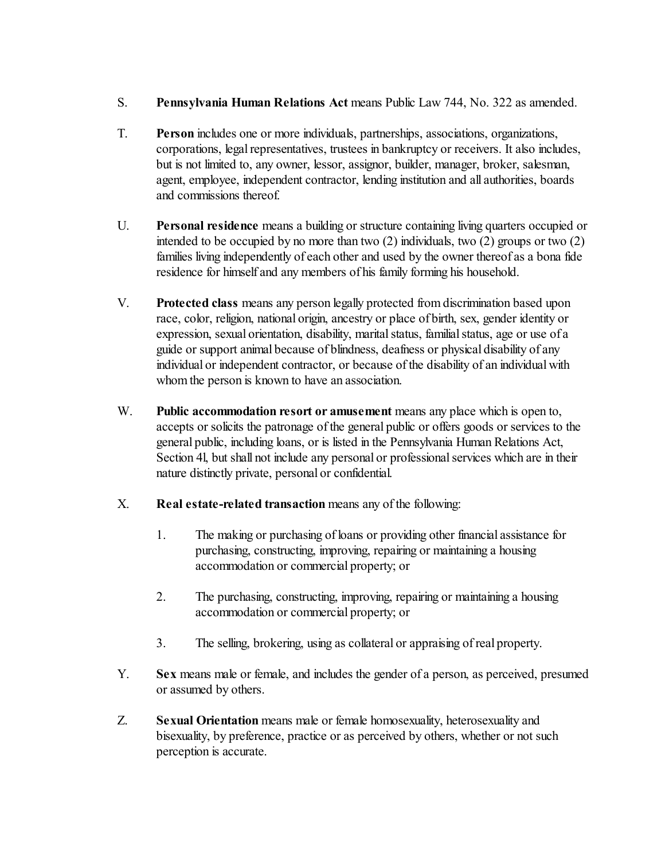- S. **Pennsylvania Human Relations Act** means Public Law 744, No. 322 as amended.
- T. **Person** includes one or more individuals, partnerships, associations, organizations, corporations, legal representatives, trustees in bankruptcy or receivers. It also includes, but is not limited to, any owner, lessor, assignor, builder, manager, broker, salesman, agent, employee, independent contractor, lending institution and all authorities, boards and commissions thereof.
- U. **Personal residence** means a building or structure containing living quarters occupied or intended to be occupied by no more than two (2) individuals, two (2) groups or two (2) families living independently of each other and used by the owner thereof as a bona fide residence for himself and any members of his family forming his household.
- V. **Protected class** means any person legally protected from discrimination based upon race, color, religion, national origin, ancestry or place of birth, sex, gender identity or expression, sexual orientation, disability, marital status, familial status, age or use of a guide or support animal because of blindness, deafness or physical disability of any individual or independent contractor, or because of the disability of an individual with whom the person is known to have an association.
- W. **Public accommodation resort or amusement** means any place which is open to, accepts or solicits the patronage of the general public or offers goods or services to the general public, including loans, or is listed in the Pennsylvania Human Relations Act, Section 4l, but shall not include any personal or professional services which are in their nature distinctly private, personal or confidential.
- X. **Real estate-related transaction** means any of the following:
	- 1. The making or purchasing of loans or providing other financial assistance for purchasing, constructing, improving, repairing or maintaining a housing accommodation or commercial property; or
	- 2. The purchasing, constructing, improving, repairing or maintaining a housing accommodation or commercial property; or
	- 3. The selling, brokering, using as collateral or appraising of real property.
- Y. **Sex** means male or female, and includes the gender of a person, as perceived, presumed or assumed by others.
- Z. **Sexual Orientation** means male or female homosexuality, heterosexuality and bisexuality, by preference, practice or as perceived by others, whether or not such perception is accurate.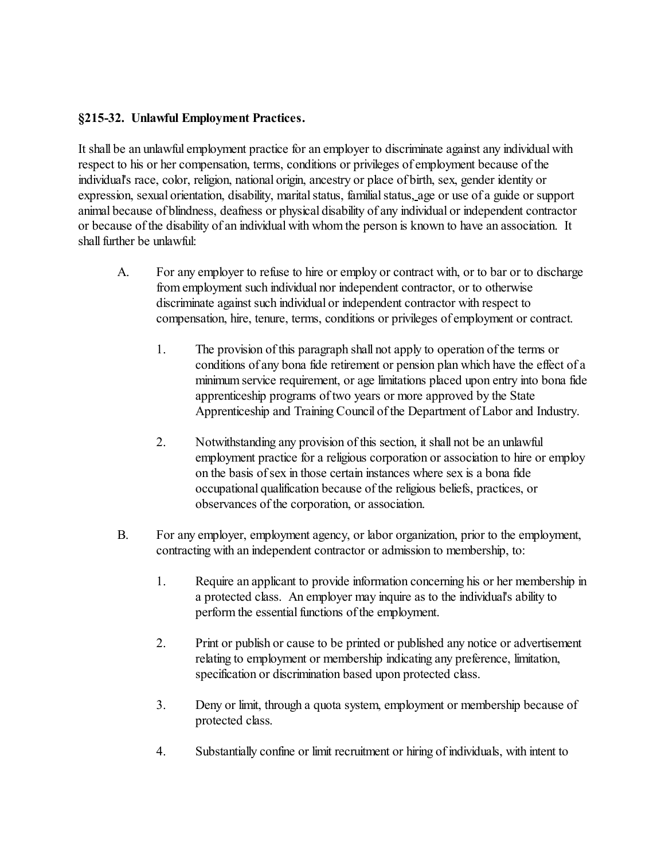#### **§215-32. Unlawful Employment Practices.**

It shall be an unlawful employment practice for an employer to discriminate against any individual with respect to his or her compensation, terms, conditions or privileges of employment because of the individual's race, color, religion, national origin, ancestry or place of birth, sex, gender identity or expression, sexual orientation, disability, marital status, familial status, age or use of a guide or support animal because of blindness, deafness or physical disability of any individual or independent contractor or because of the disability of an individual with whom the person is known to have an association. It shall further be unlawful:

- A. For any employer to refuse to hire or employ or contract with, or to bar or to discharge from employment such individual nor independent contractor, or to otherwise discriminate against such individual or independent contractor with respect to compensation, hire, tenure, terms, conditions or privileges of employment or contract.
	- 1. The provision of this paragraph shall not apply to operation of the terms or conditions of any bona fide retirement or pension plan which have the effect of a minimum service requirement, or age limitations placed upon entry into bona fide apprenticeship programs of two years or more approved by the State Apprenticeship and Training Council of the Department of Labor and Industry.
	- 2. Notwithstanding any provision of this section, it shall not be an unlawful employment practice for a religious corporation or association to hire or employ on the basis of sex in those certain instances where sex is a bona fide occupational qualification because of the religious beliefs, practices, or observances of the corporation, or association.
- B. For any employer, employment agency, or labor organization, prior to the employment, contracting with an independent contractor or admission to membership, to:
	- 1. Require an applicant to provide information concerning his or her membership in a protected class. An employer may inquire as to the individual's ability to perform the essential functions of the employment.
	- 2. Print or publish or cause to be printed or published any notice or advertisement relating to employment or membership indicating any preference, limitation, specification or discrimination based upon protected class.
	- 3. Deny or limit, through a quota system, employment or membership because of protected class.
	- 4. Substantially confine or limit recruitment or hiring of individuals, with intent to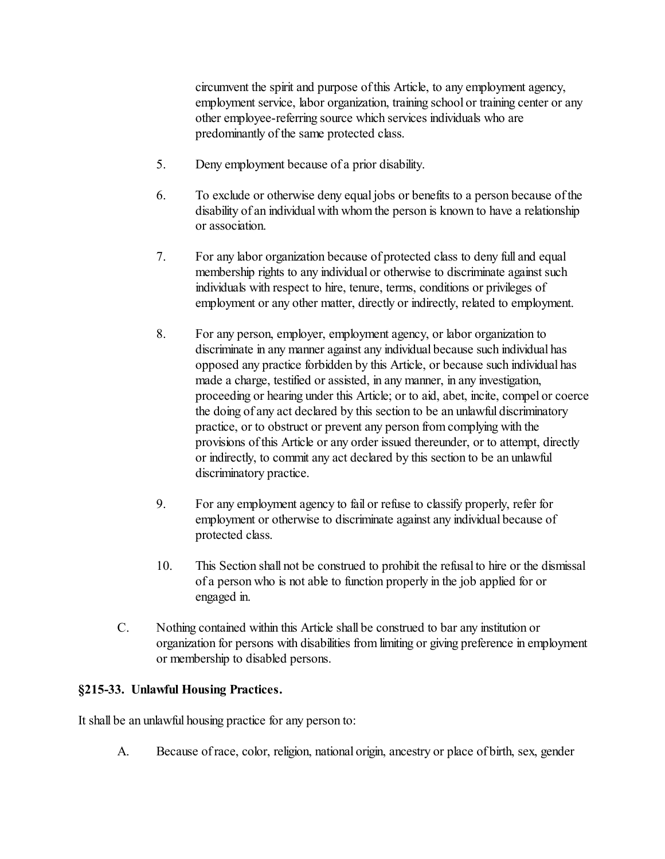circumvent the spirit and purpose of this Article, to any employment agency, employment service, labor organization, training school or training center or any other employee-referring source which services individuals who are predominantly of the same protected class.

- 5. Deny employment because of a prior disability.
- 6. To exclude or otherwise deny equal jobs or benefits to a person because of the disability of an individual with whom the person is known to have a relationship or association.
- 7. For any labor organization because of protected class to deny full and equal membership rights to any individual or otherwise to discriminate against such individuals with respect to hire, tenure, terms, conditions or privileges of employment or any other matter, directly or indirectly, related to employment.
- 8. For any person, employer, employment agency, or labor organization to discriminate in any manner against any individual because such individual has opposed any practice forbidden by this Article, or because such individual has made a charge, testified or assisted, in any manner, in any investigation, proceeding or hearing under this Article; or to aid, abet, incite, compel or coerce the doing of any act declared by this section to be an unlawful discriminatory practice, or to obstruct or prevent any person from complying with the provisions of this Article or any order issued thereunder, or to attempt, directly or indirectly, to commit any act declared by this section to be an unlawful discriminatory practice.
- 9. For any employment agency to fail or refuse to classify properly, refer for employment or otherwise to discriminate against any individual because of protected class.
- 10. This Section shall not be construed to prohibit the refusal to hire or the dismissal of a person who is not able to function properly in the job applied for or engaged in.
- C. Nothing contained within this Article shall be construed to bar any institution or organization for persons with disabilities from limiting or giving preference in employment or membership to disabled persons.

#### **§215-33. Unlawful Housing Practices.**

It shall be an unlawful housing practice for any person to:

A. Because of race, color, religion, national origin, ancestry or place of birth, sex, gender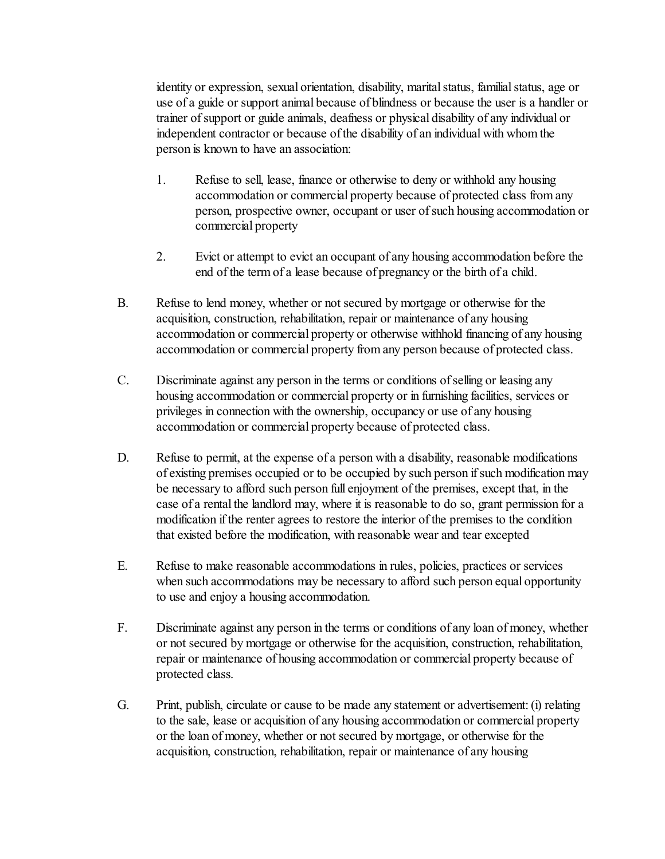identity or expression, sexual orientation, disability, marital status, familial status, age or use of a guide or support animal because of blindness or because the user is a handler or trainer of support or guide animals, deafness or physical disability of any individual or independent contractor or because of the disability of an individual with whom the person is known to have an association:

- 1. Refuse to sell, lease, finance or otherwise to deny or withhold any housing accommodation or commercial property because of protected class from any person, prospective owner, occupant or user of such housing accommodation or commercial property
- 2. Evict or attempt to evict an occupant of any housing accommodation before the end of the term of a lease because of pregnancy or the birth of a child.
- B. Refuse to lend money, whether or not secured by mortgage or otherwise for the acquisition, construction, rehabilitation, repair or maintenance of any housing accommodation or commercial property or otherwise withhold financing of any housing accommodation or commercial property from any person because of protected class.
- C. Discriminate against any person in the terms or conditions of selling or leasing any housing accommodation or commercial property or in furnishing facilities, services or privileges in connection with the ownership, occupancy or use of any housing accommodation or commercial property because of protected class.
- D. Refuse to permit, at the expense of a person with a disability, reasonable modifications of existing premises occupied or to be occupied by such person if such modification may be necessary to afford such person full enjoyment of the premises, except that, in the case of a rental the landlord may, where it is reasonable to do so, grant permission for a modification if the renter agrees to restore the interior of the premises to the condition that existed before the modification, with reasonable wear and tear excepted
- E. Refuse to make reasonable accommodations in rules, policies, practices or services when such accommodations may be necessary to afford such person equal opportunity to use and enjoy a housing accommodation.
- F. Discriminate against any person in the terms or conditions of any loan of money, whether or not secured by mortgage or otherwise for the acquisition, construction, rehabilitation, repair or maintenance of housing accommodation or commercial property because of protected class.
- G. Print, publish, circulate or cause to be made any statement or advertisement: (i) relating to the sale, lease or acquisition of any housing accommodation or commercial property or the loan of money, whether or not secured by mortgage, or otherwise for the acquisition, construction, rehabilitation, repair or maintenance of any housing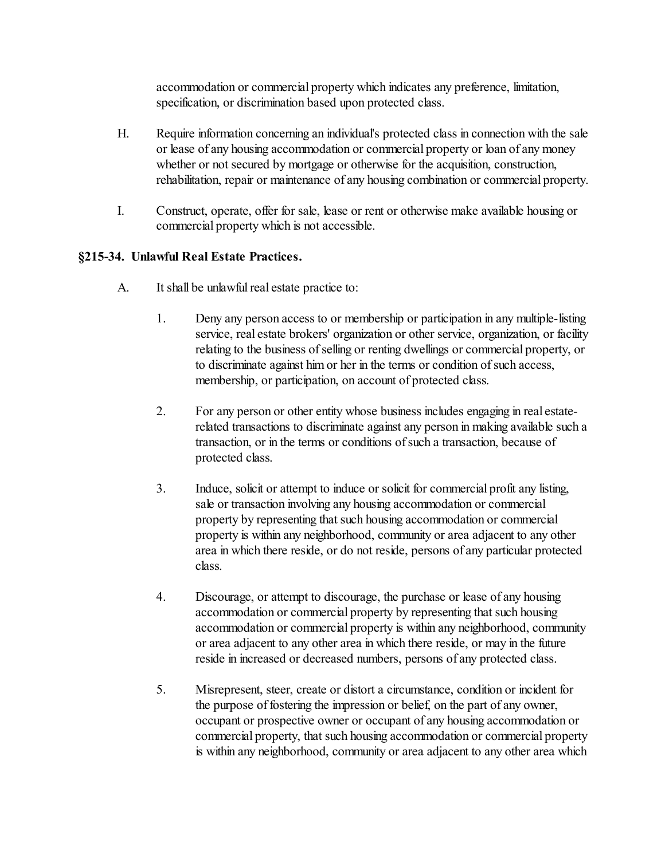accommodation or commercial property which indicates any preference, limitation, specification, or discrimination based upon protected class.

- H. Require information concerning an individual's protected class in connection with the sale or lease of any housing accommodation or commercial property or loan of any money whether or not secured by mortgage or otherwise for the acquisition, construction, rehabilitation, repair or maintenance of any housing combination or commercial property.
- I. Construct, operate, offer for sale, lease or rent or otherwise make available housing or commercial property which is not accessible.

# **§215-34. Unlawful Real Estate Practices.**

- A. It shall be unlawful real estate practice to:
	- 1. Deny any person access to or membership or participation in any multiple-listing service, real estate brokers' organization or other service, organization, or facility relating to the business of selling or renting dwellings or commercial property, or to discriminate against him or her in the terms or condition of such access, membership, or participation, on account of protected class.
	- 2. For any person or other entity whose business includes engaging in real estaterelated transactions to discriminate against any person in making available such a transaction, or in the terms or conditions of such a transaction, because of protected class.
	- 3. Induce, solicit or attempt to induce or solicit for commercial profit any listing, sale or transaction involving any housing accommodation or commercial property by representing that such housing accommodation or commercial property is within any neighborhood, community or area adjacent to any other area in which there reside, or do not reside, persons of any particular protected class.
	- 4. Discourage, or attempt to discourage, the purchase or lease of any housing accommodation or commercial property by representing that such housing accommodation or commercial property is within any neighborhood, community or area adjacent to any other area in which there reside, or may in the future reside in increased or decreased numbers, persons of any protected class.
	- 5. Misrepresent, steer, create or distort a circumstance, condition or incident for the purpose of fostering the impression or belief, on the part of any owner, occupant or prospective owner or occupant of any housing accommodation or commercial property, that such housing accommodation or commercial property is within any neighborhood, community or area adjacent to any other area which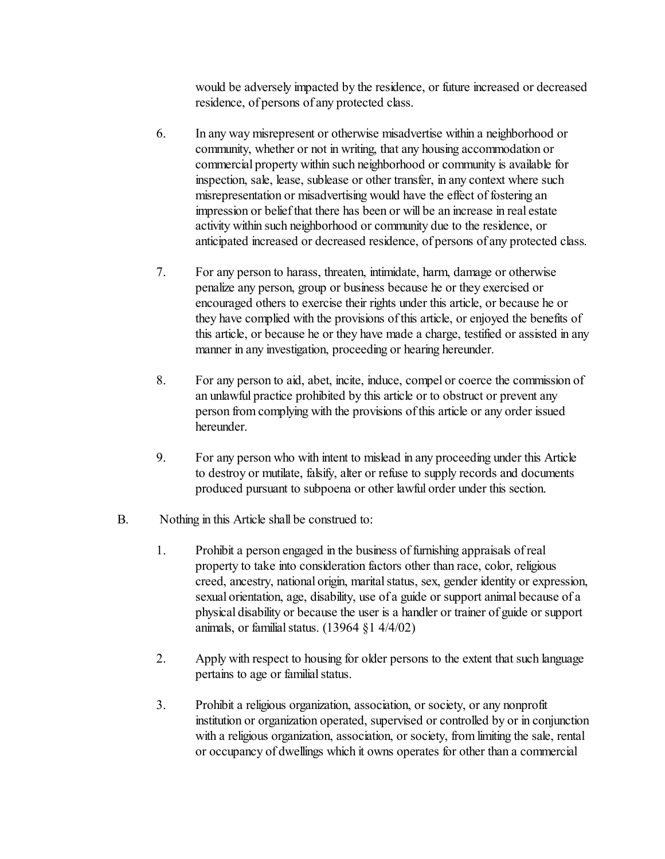would be adversely impacted by the residence, or future increased or decreased residence, of persons of any protected class.

- 6. In any way misrepresent or otherwise misadvertise within a neighborhood or community, whether or not in writing, that any housing accommodation or commercial property within such neighborhood or community is available for inspection, sale, lease, sublease or other transfer, in any context where such misrepresentation or misadvertising would have the effect of fostering an impression or belief that there has been or will be an increase in real estate activity within such neighborhood or community due to the residence, or anticipated increased or decreased residence, of persons of any protected class.
- 7. For any person to harass, threaten, intimidate, harm, damage or otherwise penalize any person, group or business because he or they exercised or encouraged others to exercise their rights under this article, or because he or they have complied with the provisions of this article, or enjoyed the benefits of this article, or because he or they have made a charge, testified or assisted in any manner in any investigation, proceeding or hearing hereunder.
- 8. For any person to aid, abet, incite, induce, compel or coerce the commission of an unlawful practice prohibited by this article or to obstruct or prevent any person from complying with the provisions of this article or any order issued hereunder.
- 9. For any person who with intent to mislead in any proceeding under this Article to destroy or mutilate, falsify, alter or refuse to supply records and documents produced pursuant to subpoena or other lawful order under this section.
- B. Nothing in this Article shall be construed to:
	- 1. Prohibit a person engaged in the business of furnishing appraisals of real property to take into consideration factors other than race, color, religious creed, ancestry, national origin, marital status, sex, gender identity or expression, sexual orientation, age, disability, use of a guide or support animal because of a physical disability or because the user is a handler or trainer of guide or support animals, or familial status.  $(13964 \text{ } \text{\&} 1 \text{ } 4/4/02)$
	- 2. Apply with respect to housing for older persons to the extent that such language pertains to age or familial status.
	- 3. Prohibit a religious organization, association, or society, or any nonprofit institution or organization operated, supervised or controlled by or in conjunction with a religious organization, association, or society, from limiting the sale, rental or occupancy of dwellings which it owns operates for other than a commercial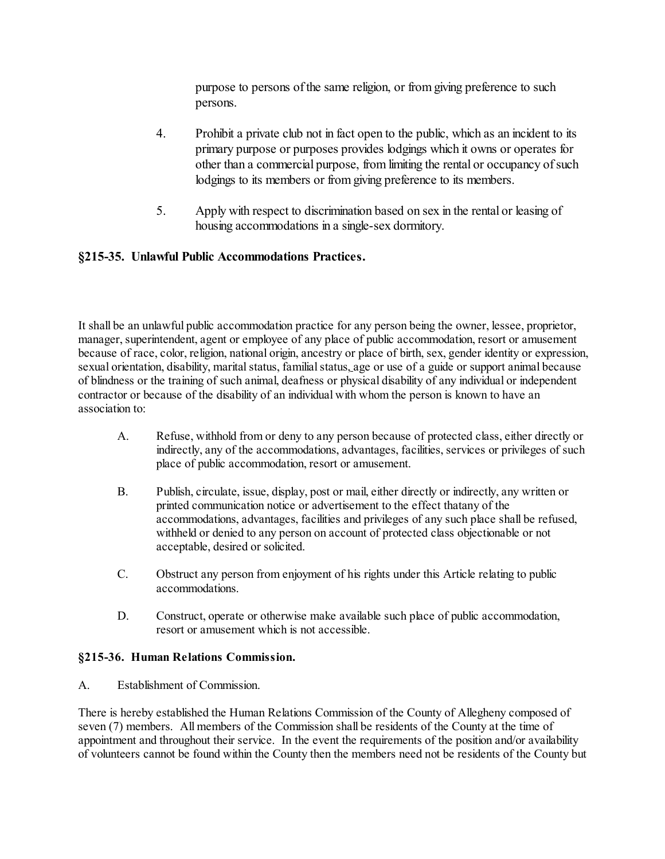purpose to persons of the same religion, or from giving preference to such persons.

- 4. Prohibit a private club not in fact open to the public, which as an incident to its primary purpose or purposes provides lodgings which it owns or operates for other than a commercial purpose, from limiting the rental or occupancy of such lodgings to its members or from giving preference to its members.
- 5. Apply with respect to discrimination based on sex in the rental or leasing of housing accommodations in a single-sex dormitory.

#### **§215-35. Unlawful Public Accommodations Practices.**

It shall be an unlawful public accommodation practice for any person being the owner, lessee, proprietor, manager, superintendent, agent or employee of any place of public accommodation, resort or amusement because of race, color, religion, national origin, ancestry or place of birth, sex, gender identity or expression, sexual orientation, disability, marital status, familial status, age or use of a guide or support animal because of blindness or the training of such animal, deafness or physical disability of any individual or independent contractor or because of the disability of an individual with whom the person is known to have an association to:

- A. Refuse, withhold from or deny to any person because of protected class, either directly or indirectly, any of the accommodations, advantages, facilities, services or privileges of such place of public accommodation, resort or amusement.
- B. Publish, circulate, issue, display, post or mail, either directly or indirectly, any written or printed communication notice or advertisement to the effect thatany of the accommodations, advantages, facilities and privileges of any such place shall be refused, withheld or denied to any person on account of protected class objectionable or not acceptable, desired or solicited.
- C. Obstruct any person from enjoyment of his rights under this Article relating to public accommodations.
- D. Construct, operate or otherwise make available such place of public accommodation, resort or amusement which is not accessible.

#### **§215-36. Human Relations Commission.**

A. Establishment of Commission.

There is hereby established the Human Relations Commission of the County of Allegheny composed of seven (7) members. All members of the Commission shall be residents of the County at the time of appointment and throughout their service. In the event the requirements of the position and/or availability of volunteers cannot be found within the County then the members need not be residents of the County but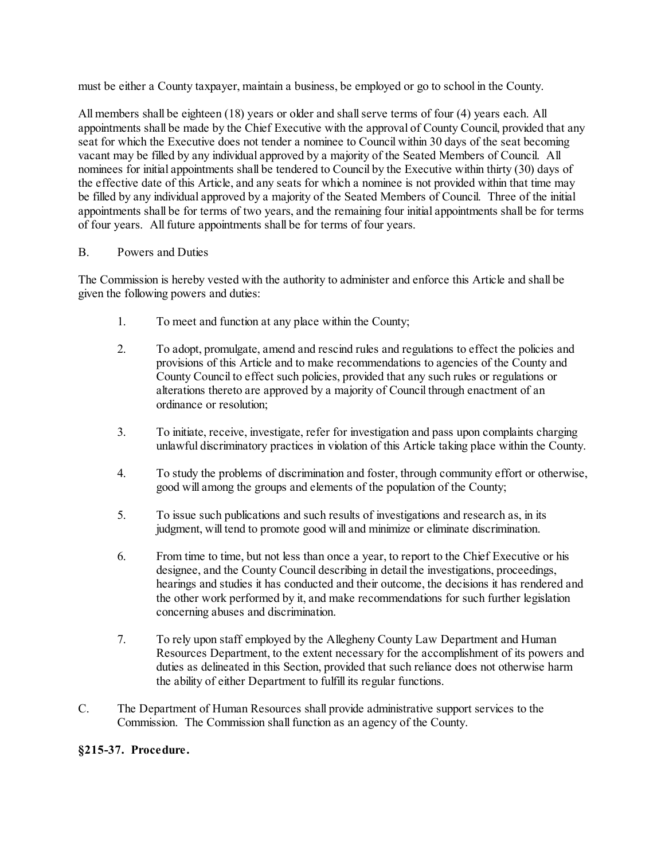must be either a County taxpayer, maintain a business, be employed or go to school in the County.

All members shall be eighteen (18) years or older and shall serve terms of four (4) years each. All appointments shall be made by the Chief Executive with the approval of County Council, provided that any seat for which the Executive does not tender a nominee to Council within 30 days of the seat becoming vacant may be filled by any individual approved by a majority of the Seated Members of Council. All nominees for initial appointments shall be tendered to Council by the Executive within thirty (30) days of the effective date of this Article, and any seats for which a nominee is not provided within that time may be filled by any individual approved by a majority of the Seated Members of Council. Three of the initial appointments shall be for terms of two years, and the remaining four initial appointments shall be for terms of four years. All future appointments shall be for terms of four years.

#### B. Powers and Duties

The Commission is hereby vested with the authority to administer and enforce this Article and shall be given the following powers and duties:

- 1. To meet and function at any place within the County;
- 2. To adopt, promulgate, amend and rescind rules and regulations to effect the policies and provisions of this Article and to make recommendations to agencies of the County and County Council to effect such policies, provided that any such rules or regulations or alterations thereto are approved by a majority of Council through enactment of an ordinance or resolution;
- 3. To initiate, receive, investigate, refer for investigation and pass upon complaints charging unlawful discriminatory practices in violation of this Article taking place within the County.
- 4. To study the problems of discrimination and foster, through community effort or otherwise, good will among the groups and elements of the population of the County;
- 5. To issue such publications and such results of investigations and research as, in its judgment, will tend to promote good will and minimize or eliminate discrimination.
- 6. From time to time, but not less than once a year, to report to the Chief Executive or his designee, and the County Council describing in detail the investigations, proceedings, hearings and studies it has conducted and their outcome, the decisions it has rendered and the other work performed by it, and make recommendations for such further legislation concerning abuses and discrimination.
- 7. To rely upon staff employed by the Allegheny County Law Department and Human Resources Department, to the extent necessary for the accomplishment of its powers and duties as delineated in this Section, provided that such reliance does not otherwise harm the ability of either Department to fulfill its regular functions.
- C. The Department of Human Resources shall provide administrative support services to the Commission. The Commission shall function as an agency of the County.

#### **§215-37. Procedure.**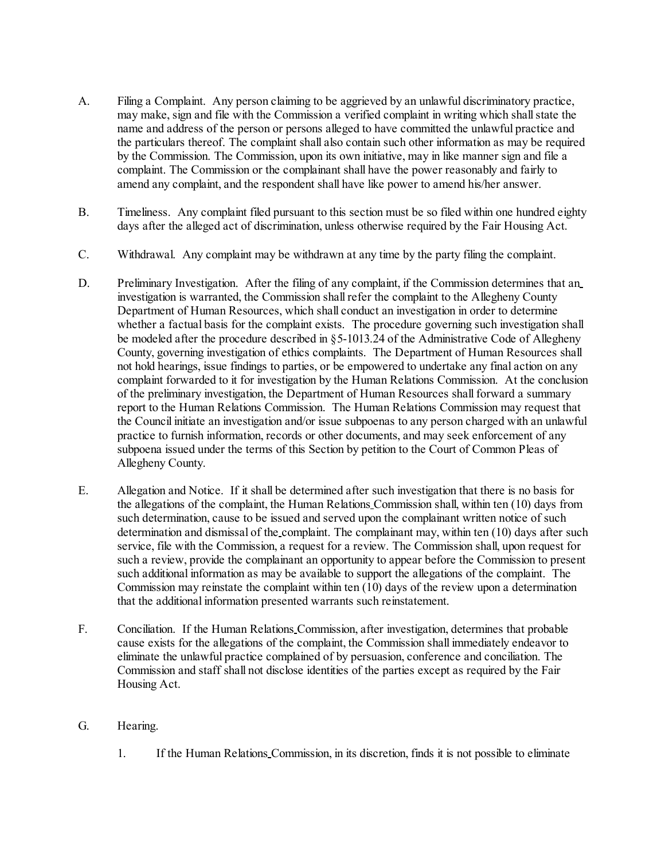- A. Filing a Complaint. Any person claiming to be aggrieved by an unlawful discriminatory practice, may make, sign and file with the Commission a verified complaint in writing which shall state the name and address of the person or persons alleged to have committed the unlawful practice and the particulars thereof. The complaint shall also contain such other information as may be required by the Commission. The Commission, upon its own initiative, may in like manner sign and file a complaint. The Commission or the complainant shall have the power reasonably and fairly to amend any complaint, and the respondent shall have like power to amend his/her answer.
- B. Timeliness. Any complaint filed pursuant to this section must be so filed within one hundred eighty days after the alleged act of discrimination, unless otherwise required by the Fair Housing Act.
- C. Withdrawal. Any complaint may be withdrawn at any time by the party filing the complaint.
- D. Preliminary Investigation. After the filing of any complaint, if the Commission determines that an investigation is warranted, the Commission shall refer the complaint to the Allegheny County Department of Human Resources, which shall conduct an investigation in order to determine whether a factual basis for the complaint exists. The procedure governing such investigation shall be modeled after the procedure described in §5-1013.24 of the Administrative Code of Allegheny County, governing investigation of ethics complaints. The Department of Human Resources shall not hold hearings, issue findings to parties, or be empowered to undertake any final action on any complaint forwarded to it for investigation by the Human Relations Commission. At the conclusion of the preliminary investigation, the Department of Human Resources shall forward a summary report to the Human Relations Commission. The Human Relations Commission may request that the Council initiate an investigation and/or issue subpoenas to any person charged with an unlawful practice to furnish information, records or other documents, and may seek enforcement of any subpoena issued under the terms of this Section by petition to the Court of Common Pleas of Allegheny County.
- E. Allegation and Notice. If it shall be determined after such investigation that there is no basis for the allegations of the complaint, the Human Relations Commission shall, within ten (10) days from such determination, cause to be issued and served upon the complainant written notice of such determination and dismissal of the complaint. The complainant may, within ten (10) days after such service, file with the Commission, a request for a review. The Commission shall, upon request for such a review, provide the complainant an opportunity to appear before the Commission to present such additional information as may be available to support the allegations of the complaint. The Commission may reinstate the complaint within ten (10) days of the review upon a determination that the additional information presented warrants such reinstatement.
- F. Conciliation. If the Human Relations Commission, after investigation, determines that probable cause exists for the allegations of the complaint, the Commission shall immediately endeavor to eliminate the unlawful practice complained of by persuasion, conference and conciliation. The Commission and staff shall not disclose identities of the parties except as required by the Fair Housing Act.
- G. Hearing.
	- 1. If the Human Relations Commission, in its discretion, finds it is not possible to eliminate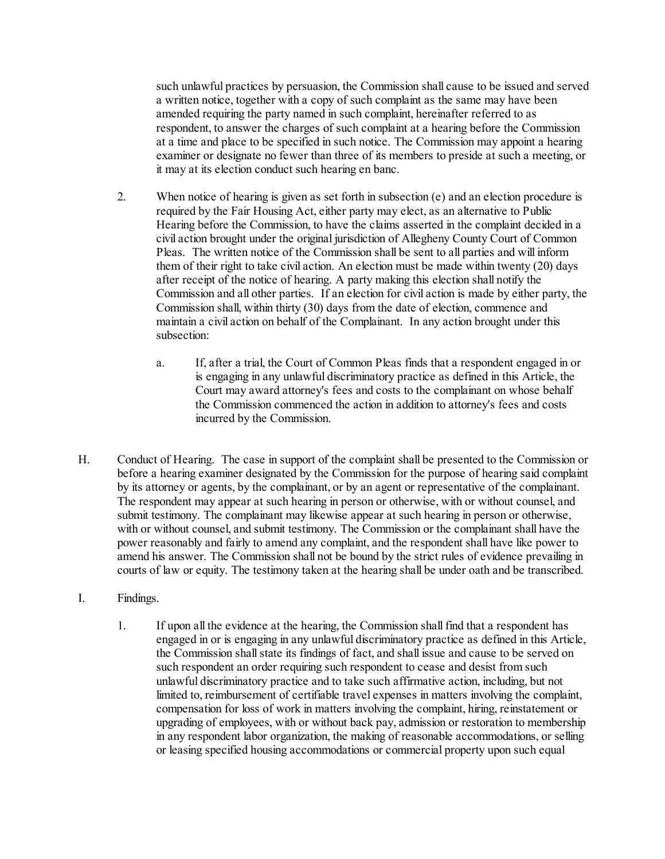such unlawful practices by persuasion, the Commission shall cause to be issued and served a written notice, together with a copy of such complaint as the same may have been amended requiring the party named in such complaint, hereinafter referred to as respondent, to answer the charges of such complaint at a hearing before the Commission at a time and place to be specified in such notice. The Commission may appoint a hearing examiner or designate no fewer than three of its members to preside at such a meeting, or it may at its election conduct such hearing en banc.

- 2. When notice of hearing is given as set forth in subsection (e) and an election procedure is required by the Fair Housing Act, either party may elect, as an alternative to Public Hearing before the Commission, to have the claims asserted in the complaint decided in a civil action brought under the original jurisdiction of Allegheny County Court of Common Pleas. The written notice of the Commission shall be sent to all parties and will inform them of their right to take civil action. An election must be made within twenty (20) days after receipt of the notice of hearing. A party making this election shall notify the Commission and all other parties. If an election for civil action is made by either party, the Commission shall, within thirty (30) days from the date of election, commence and maintain a civil action on behalf of the Complainant. In any action brought under this subsection:
	- a. If, after a trial, the Court of Common Pleas finds that a respondent engaged in or is engaging in any unlawful discriminatory practice as defined in this Article, the Court may award attorney's fees and costs to the complainant on whose behalf the Commission commenced the action in addition to attorney's fees and costs incurred by the Commission.
- H. Conduct of Hearing. The case in support of the complaint shall be presented to the Commission or before a hearing examiner designated by the Commission for the purpose of hearing said complaint by its attorney or agents, by the complainant, or by an agent or representative of the complainant. The respondent may appear at such hearing in person or otherwise, with or without counsel, and submit testimony. The complainant may likewise appear at such hearing in person or otherwise, with or without counsel, and submit testimony. The Commission or the complainant shall have the power reasonably and fairly to amend any complaint, and the respondent shall have like power to amend his answer. The Commission shall not be bound by the strict rules of evidence prevailing in courts of law or equity. The testimony taken at the hearing shall be under oath and be transcribed.
- I. Findings.
	- 1. If upon all the evidence at the hearing, the Commission shall find that a respondent has engaged in or is engaging in any unlawful discriminatory practice as defined in this Article, the Commission shall state its findings of fact, and shall issue and cause to be served on such respondent an order requiring such respondent to cease and desist from such unlawful discriminatory practice and to take such affirmative action, including, but not limited to, reimbursement of certifiable travel expenses in matters involving the complaint, compensation for loss of work in matters involving the complaint, hiring, reinstatement or upgrading of employees, with or without back pay, admission or restoration to membership in any respondent labor organization, the making of reasonable accommodations, or selling or leasing specified housing accommodations or commercial property upon such equal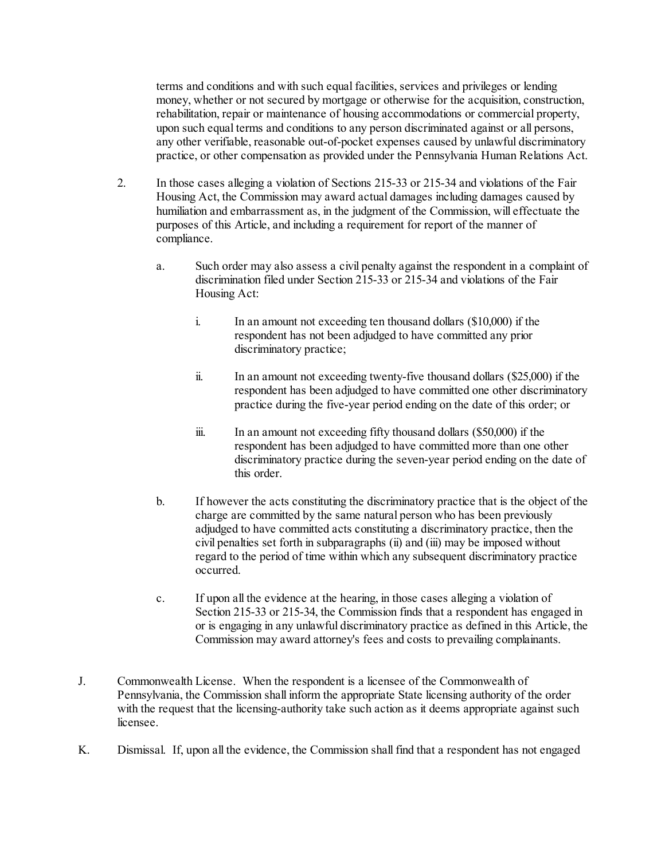terms and conditions and with such equal facilities, services and privileges or lending money, whether or not secured by mortgage or otherwise for the acquisition, construction, rehabilitation, repair or maintenance of housing accommodations or commercial property, upon such equal terms and conditions to any person discriminated against or all persons, any other verifiable, reasonable out-of-pocket expenses caused by unlawful discriminatory practice, or other compensation as provided under the Pennsylvania Human Relations Act.

- 2. In those cases alleging a violation of Sections 215-33 or 215-34 and violations of the Fair Housing Act, the Commission may award actual damages including damages caused by humiliation and embarrassment as, in the judgment of the Commission, will effectuate the purposes of this Article, and including a requirement for report of the manner of compliance.
	- a. Such order may also assess a civil penalty against the respondent in a complaint of discrimination filed under Section 215-33 or 215-34 and violations of the Fair Housing Act:
		- i. In an amount not exceeding ten thousand dollars (\$10,000) if the respondent has not been adjudged to have committed any prior discriminatory practice;
		- ii. In an amount not exceeding twenty-five thousand dollars (\$25,000) if the respondent has been adjudged to have committed one other discriminatory practice during the five-year period ending on the date of this order; or
		- iii. In an amount not exceeding fifty thousand dollars (\$50,000) if the respondent has been adjudged to have committed more than one other discriminatory practice during the seven-year period ending on the date of this order.
	- b. If however the acts constituting the discriminatory practice that is the object of the charge are committed by the same natural person who has been previously adjudged to have committed acts constituting a discriminatory practice, then the civil penalties set forth in subparagraphs (ii) and (iii) may be imposed without regard to the period of time within which any subsequent discriminatory practice occurred.
	- c. If upon all the evidence at the hearing, in those cases alleging a violation of Section 215-33 or 215-34, the Commission finds that a respondent has engaged in or is engaging in any unlawful discriminatory practice as defined in this Article, the Commission may award attorney's fees and costs to prevailing complainants.
- J. Commonwealth License. When the respondent is a licensee of the Commonwealth of Pennsylvania, the Commission shall inform the appropriate State licensing authority of the order with the request that the licensing-authority take such action as it deems appropriate against such licensee.
- K. Dismissal. If, upon all the evidence, the Commission shall find that a respondent has not engaged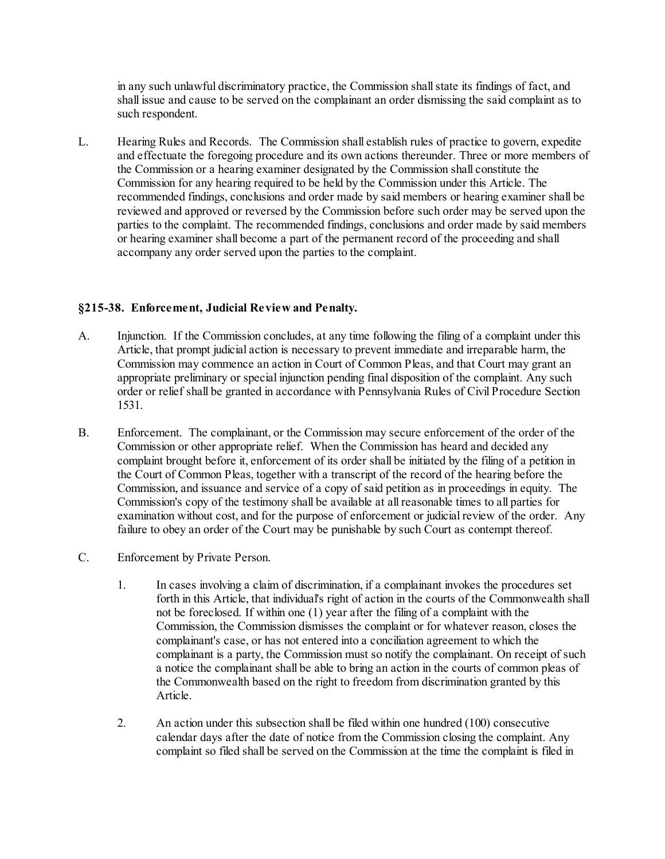in any such unlawful discriminatory practice, the Commission shall state its findings of fact, and shall issue and cause to be served on the complainant an order dismissing the said complaint as to such respondent.

L. Hearing Rules and Records. The Commission shall establish rules of practice to govern, expedite and effectuate the foregoing procedure and its own actions thereunder. Three or more members of the Commission or a hearing examiner designated by the Commission shall constitute the Commission for any hearing required to be held by the Commission under this Article. The recommended findings, conclusions and order made by said members or hearing examiner shall be reviewed and approved or reversed by the Commission before such order may be served upon the parties to the complaint. The recommended findings, conclusions and order made by said members or hearing examiner shall become a part of the permanent record of the proceeding and shall accompany any order served upon the parties to the complaint.

#### **§215-38. Enforcement, Judicial Review and Penalty.**

- A. Injunction. If the Commission concludes, at any time following the filing of a complaint under this Article, that prompt judicial action is necessary to prevent immediate and irreparable harm, the Commission may commence an action in Court of Common Pleas, and that Court may grant an appropriate preliminary or special injunction pending final disposition of the complaint. Any such order or relief shall be granted in accordance with Pennsylvania Rules of Civil Procedure Section 1531.
- B. Enforcement. The complainant, or the Commission may secure enforcement of the order of the Commission or other appropriate relief. When the Commission has heard and decided any complaint brought before it, enforcement of its order shall be initiated by the filing of a petition in the Court of Common Pleas, together with a transcript of the record of the hearing before the Commission, and issuance and service of a copy of said petition as in proceedings in equity. The Commission's copy of the testimony shall be available at all reasonable times to all parties for examination without cost, and for the purpose of enforcement or judicial review of the order. Any failure to obey an order of the Court may be punishable by such Court as contempt thereof.
- C. Enforcement by Private Person.
	- 1. In cases involving a claim of discrimination, if a complainant invokes the procedures set forth in this Article, that individual's right of action in the courts of the Commonwealth shall not be foreclosed. If within one (1) year after the filing of a complaint with the Commission, the Commission dismisses the complaint or for whatever reason, closes the complainant's case, or has not entered into a conciliation agreement to which the complainant is a party, the Commission must so notify the complainant. On receipt of such a notice the complainant shall be able to bring an action in the courts of common pleas of the Commonwealth based on the right to freedom from discrimination granted by this Article.
	- 2. An action under this subsection shall be filed within one hundred (100) consecutive calendar days after the date of notice from the Commission closing the complaint. Any complaint so filed shall be served on the Commission at the time the complaint is filed in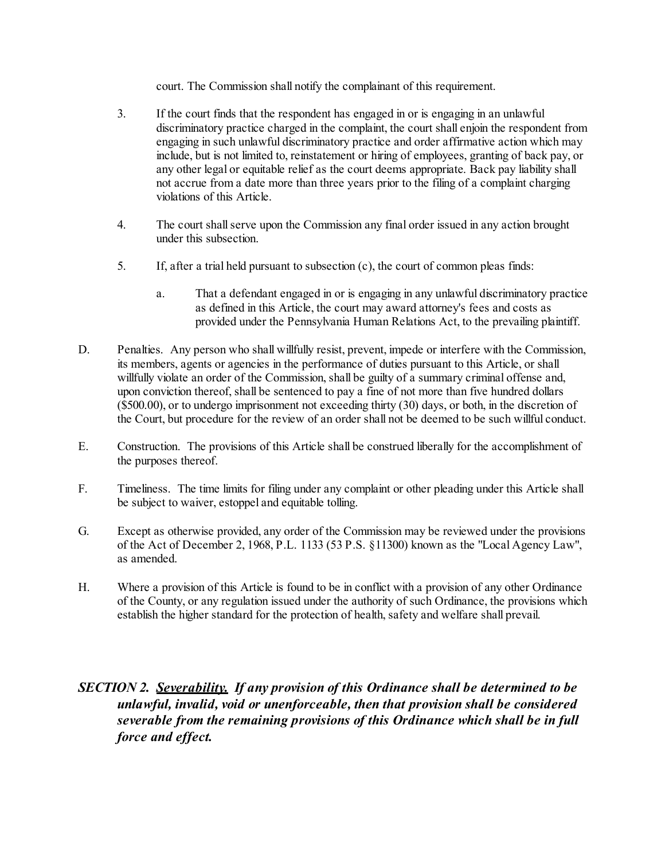court. The Commission shall notify the complainant of this requirement.

- 3. If the court finds that the respondent has engaged in or is engaging in an unlawful discriminatory practice charged in the complaint, the court shall enjoin the respondent from engaging in such unlawful discriminatory practice and order affirmative action which may include, but is not limited to, reinstatement or hiring of employees, granting of back pay, or any other legal or equitable relief as the court deems appropriate. Back pay liability shall not accrue from a date more than three years prior to the filing of a complaint charging violations of this Article.
- 4. The court shall serve upon the Commission any final order issued in any action brought under this subsection.
- 5. If, after a trial held pursuant to subsection (c), the court of common pleas finds:
	- a. That a defendant engaged in or is engaging in any unlawful discriminatory practice as defined in this Article, the court may award attorney's fees and costs as provided under the Pennsylvania Human Relations Act, to the prevailing plaintiff.
- D. Penalties. Any person who shall willfully resist, prevent, impede or interfere with the Commission, its members, agents or agencies in the performance of duties pursuant to this Article, or shall willfully violate an order of the Commission, shall be guilty of a summary criminal offense and, upon conviction thereof, shall be sentenced to pay a fine of not more than five hundred dollars (\$500.00), or to undergo imprisonment not exceeding thirty (30) days, or both, in the discretion of the Court, but procedure for the review of an order shall not be deemed to be such willful conduct.
- E. Construction. The provisions of this Article shall be construed liberally for the accomplishment of the purposes thereof.
- F. Timeliness. The time limits for filing under any complaint or other pleading under this Article shall be subject to waiver, estoppel and equitable tolling.
- G. Except as otherwise provided, any order of the Commission may be reviewed under the provisions of the Act of December 2, 1968, P.L. 1133 (53 P.S. §11300) known as the "Local Agency Law", as amended.
- H. Where a provision of this Article is found to be in conflict with a provision of any other Ordinance of the County, or any regulation issued under the authority of such Ordinance, the provisions which establish the higher standard for the protection of health, safety and welfare shall prevail.

# *SECTION 2. Severability. If any provision of this Ordinance shall be determined to be unlawful, invalid, void or unenforceable, then that provision shall be considered severable from the remaining provisions of this Ordinance which shall be in full force and effect.*